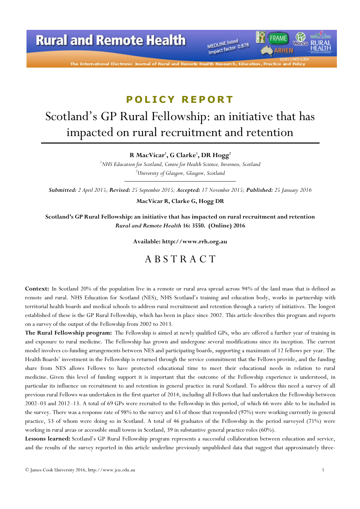The International Electronic Journal of Rural ar

MEDLINE listed MEDLINE listed<br>Impact factor 0.878

## POLICY REPORT

# Scotland's GP Rural Fellowship: an initiative that has impacted on rural recruitment and retention

R MacVicar', G Clarke', DR Hogg<sup>2</sup>

<sup>1</sup>NHS Education for Scotland, Centre for Health Science, Inverness, Scotland <sup>2</sup>University of Glasgow, Glasgow, Scotland

Submitted: 2 April 2015; Revised: 25 September 2015; Accepted: 17 November 2015; Published: 25 January 2016

MacVicar R, Clarke G, Hogg DR

Scotland's GP Rural Fellowship: an initiative that has impacted on rural recruitment and retention Rural and Remote Health 16: 3550. (Online) 2016

Available: http://www.rrh.org.au

### A B S T R A C T

Context: In Scotland 20% of the population live in a remote or rural area spread across 94% of the land mass that is defined as remote and rural. NHS Education for Scotland (NES), NHS Scotland's training and education body, works in partnership with territorial health boards and medical schools to address rural recruitment and retention through a variety of initiatives. The longest established of these is the GP Rural Fellowship, which has been in place since 2002. This article describes this program and reports on a survey of the output of the Fellowship from 2002 to 2013.

The Rural Fellowship program: The Fellowship is aimed at newly qualified GPs, who are offered a further year of training in and exposure to rural medicine. The Fellowship has grown and undergone several modifications since its inception. The current model involves co-funding arrangements between NES and participating boards, supporting a maximum of 12 fellows per year. The Health Boards' investment in the Fellowship is returned through the service commitment that the Fellows provide, and the funding share from NES allows Fellows to have protected educational time to meet their educational needs in relation to rural medicine. Given this level of funding support it is important that the outcome of the Fellowship experience is understood, in particular its influence on recruitment to and retention in general practice in rural Scotland. To address this need a survey of all previous rural Fellows was undertaken in the first quarter of 2014, including all Fellows that had undertaken the Fellowship between 2002–03 and 2012–13. A total of 69 GPs were recruited to the Fellowship in this period, of which 66 were able to be included in the survey. There was a response rate of 98% to the survey and 63 of those that responded (97%) were working currently in general practice, 53 of whom were doing so in Scotland. A total of 46 graduates of the Fellowship in the period surveyed (71%) were working in rural areas or accessible small towns in Scotland, 39 in substantive general practice roles (60%).

Lessons learned: Scotland's GP Rural Fellowship program represents a successful collaboration between education and service, and the results of the survey reported in this article underline previously unpublished data that suggest that approximately three-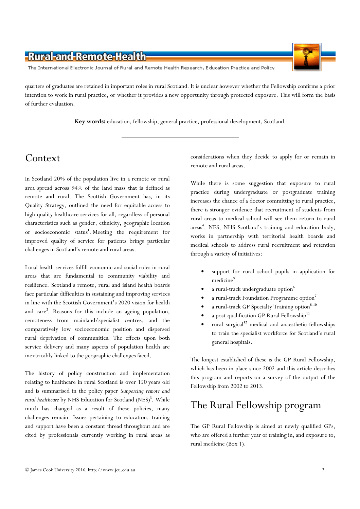

The International Electronic Journal of Rural and Remote Health Research, Education Practice and Policy

quarters of graduates are retained in important roles in rural Scotland. It is unclear however whether the Fellowship confirms a prior intention to work in rural practice, or whether it provides a new opportunity through protected exposure. This will form the basis of further evaluation.

Key words: education, fellowship, general practice, professional development, Scotland.

# Context

In Scotland 20% of the population live in a remote or rural area spread across 94% of the land mass that is defined as remote and rural. The Scottish Government has, in its Quality Strategy, outlined the need for equitable access to high-quality healthcare services for all, regardless of personal characteristics such as gender, ethnicity, geographic location or socioeconomic status<sup>1</sup>. Meeting the requirement for improved quality of service for patients brings particular challenges in Scotland's remote and rural areas.

Local health services fulfill economic and social roles in rural areas that are fundamental to community viability and resilience. Scotland's remote, rural and island health boards face particular difficulties in sustaining and improving services in line with the Scottish Government's 2020 vision for health and care<sup>2</sup>. Reasons for this include an ageing population, remoteness from mainland/specialist centres, and the comparatively low socioeconomic position and dispersed rural deprivation of communities. The effects upon both service delivery and many aspects of population health are inextricably linked to the geographic challenges faced.

The history of policy construction and implementation relating to healthcare in rural Scotland is over 150 years old and is summarised in the policy paper Supporting remote and rural healthcare by NHS Education for Scotland (NES)<sup>3</sup>. While much has changed as a result of these policies, many challenges remain. Issues pertaining to education, training and support have been a constant thread throughout and are cited by professionals currently working in rural areas as

considerations when they decide to apply for or remain in remote and rural areas.

While there is some suggestion that exposure to rural practice during undergraduate or postgraduate training increases the chance of a doctor committing to rural practice, there is stronger evidence that recruitment of students from rural areas to medical school will see them return to rural areas 4 . NES, NHS Scotland's training and education body, works in partnership with territorial health boards and medical schools to address rural recruitment and retention through a variety of initiatives:

- support for rural school pupils in application for medicine<sup>5</sup>
- a rural-track undergraduate option<sup>6</sup>
- a rural-track Foundation Programme option<sup>7</sup>
- a rural-track GP Specialty Training option<sup>8-10</sup>
- a post-qualification GP Rural Fellowship<sup>11</sup>
- rural surgical<sup>12</sup> medical and anaesthetic fellowships to train the specialist workforce for Scotland's rural general hospitals.

The longest established of these is the GP Rural Fellowship, which has been in place since 2002 and this article describes this program and reports on a survey of the output of the Fellowship from 2002 to 2013.

# The Rural Fellowship program

The GP Rural Fellowship is aimed at newly qualified GPs, who are offered a further year of training in, and exposure to, rural medicine (Box 1).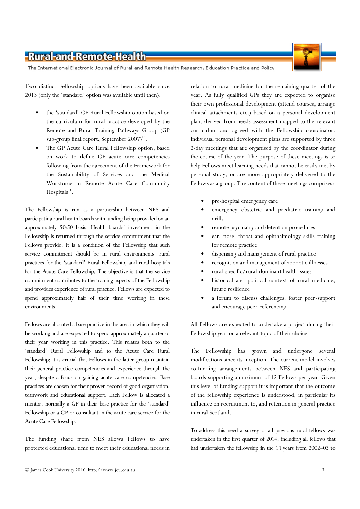The International Electronic Journal of Rural and Remote Health Research, Education Practice and Policy

Two distinct Fellowship options have been available since 2013 (only the 'standard' option was available until then):

- the 'standard' GP Rural Fellowship option based on the curriculum for rural practice developed by the Remote and Rural Training Pathways Group (GP sub-group final report, September 2007)<sup>13</sup>.
- The GP Acute Care Rural Fellowship option, based on work to define GP acute care competencies following from the agreement of the Framework for the Sustainability of Services and the Medical Workforce in Remote Acute Care Community Hospitals<sup>14</sup>.

The Fellowship is run as a partnership between NES and participating rural health boards with funding being provided on an approximately 50:50 basis. Health boards' investment in the Fellowship is returned through the service commitment that the Fellows provide. It is a condition of the Fellowship that such service commitment should be in rural environments: rural practices for the 'standard' Rural Fellowship, and rural hospitals for the Acute Care Fellowship. The objective is that the service commitment contributes to the training aspects of the Fellowship and provides experience of rural practice. Fellows are expected to spend approximately half of their time working in these environments.

Fellows are allocated a base practice in the area in which they will be working and are expected to spend approximately a quarter of their year working in this practice. This relates both to the 'standard' Rural Fellowship and to the Acute Care Rural Fellowship; it is crucial that Fellows in the latter group maintain their general practice competencies and experience through the year, despite a focus on gaining acute care competencies. Base practices are chosen for their proven record of good organisation, teamwork and educational support. Each Fellow is allocated a mentor, normally a GP in their base practice for the 'standard' Fellowship or a GP or consultant in the acute care service for the Acute Care Fellowship.

The funding share from NES allows Fellows to have protected educational time to meet their educational needs in

relation to rural medicine for the remaining quarter of the year. As fully qualified GPs they are expected to organise their own professional development (attend courses, arrange clinical attachments etc.) based on a personal development plant derived from needs assessment mapped to the relevant curriculum and agreed with the Fellowship coordinator. Individual personal development plans are supported by three 2-day meetings that are organised by the coordinator during the course of the year. The purpose of these meetings is to help Fellows meet learning needs that cannot be easily met by personal study, or are more appropriately delivered to the Fellows as a group. The content of these meetings comprises:

- pre-hospital emergency care
- emergency obstetric and paediatric training and drills
- remote psychiatry and detention procedures
- ear, nose, throat and ophthalmology skills training for remote practice
- dispensing and management of rural practice
- recognition and management of zoonotic illnesses
- rural-specific/rural-dominant health issues
- historical and political context of rural medicine, future resilience
- a forum to discuss challenges, foster peer-support and encourage peer-referencing

All Fellows are expected to undertake a project during their Fellowship year on a relevant topic of their choice.

The Fellowship has grown and undergone several modifications since its inception. The current model involves co-funding arrangements between NES and participating boards supporting a maximum of 12 Fellows per year. Given this level of funding support it is important that the outcome of the fellowship experience is understood, in particular its influence on recruitment to, and retention in general practice in rural Scotland.

To address this need a survey of all previous rural fellows was undertaken in the first quarter of 2014, including all fellows that had undertaken the fellowship in the 11 years from 2002–03 to



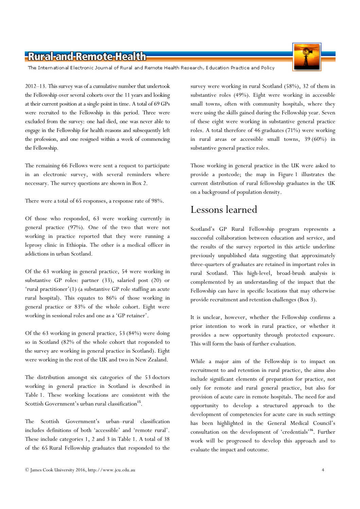The International Electronic Journal of Rural and Remote Health Research, Education Practice and Policy

2012–13. This survey was of a cumulative number that undertook the Fellowship over several cohorts over the 11 years and looking at their current position at a single point in time. A total of 69 GPs were recruited to the Fellowship in this period. Three were excluded from the survey: one had died, one was never able to engage in the Fellowship for health reasons and subsequently left the profession, and one resigned within a week of commencing the Fellowship.

The remaining 66 Fellows were sent a request to participate in an electronic survey, with several reminders where necessary. The survey questions are shown in Box 2.

There were a total of 65 responses, a response rate of 98%.

Of those who responded, 63 were working currently in general practice (97%). One of the two that were not working in practice reported that they were running a leprosy clinic in Ethiopia. The other is a medical officer in addictions in urban Scotland.

Of the 63 working in general practice, 54 were working in substantive GP roles: partner (33), salaried post (20) or 'rural practitioner'(1) (a substantive GP role staffing an acute rural hospital). This equates to 86% of those working in general practice or 83% of the whole cohort. Eight were working in sessional roles and one as a 'GP retainer'.

Of the 63 working in general practice, 53 (84%) were doing so in Scotland (82% of the whole cohort that responded to the survey are working in general practice in Scotland). Eight were working in the rest of the UK and two in New Zealand.

The distribution amongst six categories of the 53 doctors working in general practice in Scotland is described in Table 1. These working locations are consistent with the Scottish Government's urban rural classification<sup>15</sup>.

The Scottish Government's urban–rural classification includes definitions of both 'accessible' and 'remote rural'. These include categories 1, 2 and 3 in Table 1. A total of 38 of the 65 Rural Fellowship graduates that responded to the survey were working in rural Scotland (58%), 32 of them in substantive roles (49%). Eight were working in accessible small towns, often with community hospitals, where they were using the skills gained during the Fellowship year. Seven of these eight were working in substantive general practice roles. A total therefore of 46 graduates (71%) were working in rural areas or accessible small towns, 39 (60%) in substantive general practice roles.

Those working in general practice in the UK were asked to provide a postcode; the map in Figure 1 illustrates the current distribution of rural fellowship graduates in the UK on a background of population density.

# Lessons learned

Scotland's GP Rural Fellowship program represents a successful collaboration between education and service, and the results of the survey reported in this article underline previously unpublished data suggesting that approximately three-quarters of graduates are retained in important roles in rural Scotland. This high-level, broad-brush analysis is complemented by an understanding of the impact that the Fellowship can have in specific locations that may otherwise provide recruitment and retention challenges (Box 3).

It is unclear, however, whether the Fellowship confirms a prior intention to work in rural practice, or whether it provides a new opportunity through protected exposure. This will form the basis of further evaluation.

While a major aim of the Fellowship is to impact on recruitment to and retention in rural practice, the aims also include significant elements of preparation for practice, not only for remote and rural general practice, but also for provision of acute care in remote hospitals. The need for and opportunity to develop a structured approach to the development of competencies for acute care in such settings has been highlighted in the General Medical Council's consultation on the development of 'credentials'<sup>16</sup>. Further work will be progressed to develop this approach and to evaluate the impact and outcome.

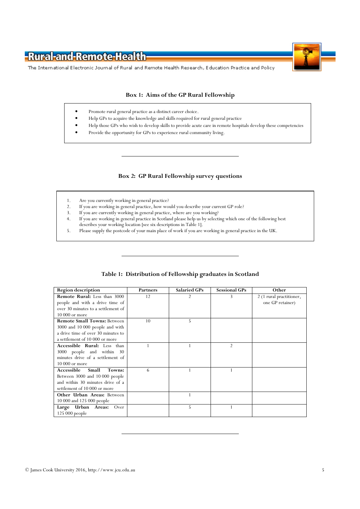



The International Electronic Journal of Rural and Remote Health Research, Education Practice and Policy

#### Box 1: Aims of the GP Rural Fellowship

- Promote rural general practice as a distinct career choice.
- Help GPs to acquire the knowledge and skills required for rural general practice
- Help those GPs who wish to develop skills to provide acute care in remote hospitals develop these competencies
- Provide the opportunity for GPs to experience rural community living.

#### Box 2: GP Rural Fellowship survey questions

- 1. Are you currently working in general practice?
- 2. If you are working in general practice, how would you describe your current GP role?<br>3. If you are currently working in general practice, where are you working?
- If you are currently working in general practice, where are you working?
- 4. If you are working in general practice in Scotland please help us by selecting which one of the following best
- describes your working location [see six descriptions in Table 1].
- 5. Please supply the postcode of your main place of work if you are working in general practice in the UK.

| <b>Region description</b>          | Partners | <b>Salaried GPs</b> | <b>Sessional GPs</b> | Other                    |
|------------------------------------|----------|---------------------|----------------------|--------------------------|
| Remote Rural: Less than 3000       | 12       | $\overline{2}$      | 3                    | 2 (1 rural practitioner, |
| people and with a drive time of    |          |                     |                      | one GP retainer)         |
| over 30 minutes to a settlement of |          |                     |                      |                          |
| 10 000 or more                     |          |                     |                      |                          |
| <b>Remote Small Towns: Between</b> | 10       | 5                   |                      |                          |
| 3000 and 10 000 people and with    |          |                     |                      |                          |
| a drive time of over 30 minutes to |          |                     |                      |                          |
| a settlement of 10 000 or more     |          |                     |                      |                          |
| Accessible Rural: Less than        |          | 1                   | $\overline{2}$       |                          |
| 3000 people and within 30          |          |                     |                      |                          |
| minutes drive of a settlement of   |          |                     |                      |                          |
| 10 000 or more                     |          |                     |                      |                          |
| Accessible<br>Small<br>Towns:      | 6        |                     |                      |                          |
| Between 3000 and 10 000 people     |          |                     |                      |                          |
| and within 30 minutes drive of a   |          |                     |                      |                          |
| settlement of 10 000 or more       |          |                     |                      |                          |
| Other Urban Areas: Between         |          | 1                   |                      |                          |
| 10 000 and 125 000 people          |          |                     |                      |                          |
| Large Urban Areas:<br>Over         |          | 5                   |                      |                          |
| 125 000 people                     |          |                     |                      |                          |

#### Table 1: Distribution of Fellowship graduates in Scotland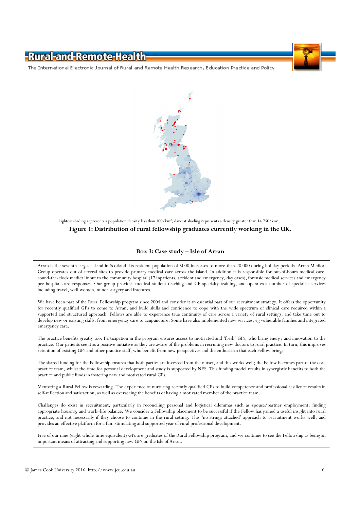The International Electronic Journal of Rural and Remote Health Research, Education Practice and Policy



#### Lightest shading represents a population density less than 100/km<sup>2</sup>; darkest shading represents a density greater than 14 750/km<sup>2</sup>. Figure 1: Distribution of rural fellowship graduates currently working in the UK.

#### Box 3: Case study – Isle of Arran

Arran is the seventh largest island in Scotland. Its resident population of 5000 increases to more than 20 000 during holiday periods. Arran Medical Group operates out of several sites to provide primary medical care across the island. In addition it is responsible for out-of-hours medical care, round-the-clock medical input to the community hospital (17 inpatients, accident and emergency, day cases), forensic medical services and emergency pre-hospital care responses. Our group provides medical student teaching and GP specialty training, and operates a number of specialist services including travel, well women, minor surgery and fractures.

We have been part of the Rural Fellowship program since 2004 and consider it an essential part of our recruitment strategy. It offers the opportunity for recently qualified GPs to come to Arran, and build skills and confidence to cope with the wide spectrum of clinical care required within a supported and structured approach. Fellows are able to experience true continuity of care across a variety of rural settings, and take time out to develop new or existing skills, from emergency care to acupuncture. Some have also implemented new services, eg vulnerable families and integrated emergency care.

The practice benefits greatly too. Participation in the program ensures access to motivated and 'fresh' GPs, who bring energy and innovation to the practice. Our patients see it as a positive initiative as they are aware of the problems in recruiting new doctors to rural practice. In turn, this improves retention of existing GPs and other practice staff, who benefit from new perspectives and the enthusiasm that each Fellow brings.

The shared funding for the Fellowship ensures that both parties are invested from the outset, and this works well; the Fellow becomes part of the core practice team, whilst the time for personal development and study is supported by NES. This funding model results in synergistic benefits to both the practice and public funds in fostering new and motivated rural GPs.

Mentoring a Rural Fellow is rewarding. The experience of nurturing recently qualified GPs to build competence and professional resilience results in self-reflection and satisfaction, as well as overseeing the benefits of having a motivated member of the practice team.

Challenges do exist in recruitment, particularly in reconciling personal and logistical dilemmas such as spouse/partner employment, finding appropriate housing, and work–life balance. We consider a Fellowship placement to be successful if the Fellow has gained a useful insight into rural practice, and not necessarily if they choose to continue in the rural setting. This 'no-strings-attached' approach to recruitment works well, and provides an effective platform for a fun, stimulating and supported year of rural professional development.

Five of our nine (eight whole-time equivalent) GPs are graduates of the Rural Fellowship program, and we continue to see the Fellowship as being an important means of attracting and supporting new GPs on the Isle of Arran.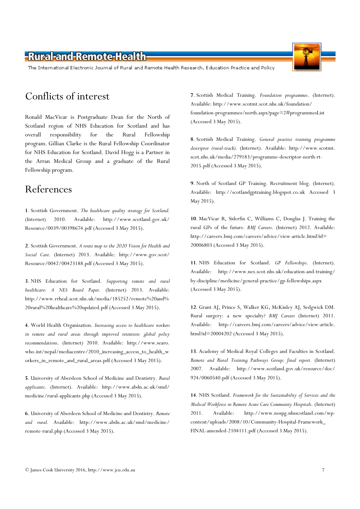The International Electronic Journal of Rural and Remote Health Research, Education Practice and Policy

### Conflicts of interest

Ronald MacVicar is Postgraduate Dean for the North of Scotland region of NHS Education for Scotland and has overall responsibility for the Rural Fellowship program. Gillian Clarke is the Rural Fellowship Coordinator for NHS Education for Scotland. David Hogg is a Partner in the Arran Medical Group and a graduate of the Rural Fellowship program.

### References

1. Scottish Government. The healthcare quality strategy for Scotland. (Internet) 2010. Available: http://www.scotland.gov.uk/ Resource/0039/00398674.pdf (Accessed 3 May 2015).

2. Scottish Government. A route map to the 2020 Vision for Health and Social Care. (Internet) 2013. Available: http://www.gov.scot/ Resource/0042/00423188.pdf (Accessed 3 May 2015).

3. NHS Education for Scotland. Supporting remote and rural healthcare: A NES Board Paper. (Internet) 2013. Available: http://www.rrheal.scot.nhs.uk/media/185252/remote%20and% 20rural%20healthcare%20updated.pdf (Accessed 3 May 2015).

4. World Health Organization. Increasing access to healthcare workers in remote and rural areas through improved retention: global policy recommendations. (Internet) 2010. Available: http://www.searo. who.int/nepal/mediacentre/2010\_increasing\_access\_to\_health\_w orkers\_in\_remote\_and\_rural\_areas.pdf (Accessed 3 May 2015).

5. University of Aberdeen School of Medicine and Dentistry. Rural applicants. (Internet). Available: http://www.abdn.ac.uk/smd/ medicine/rural-applicants.php (Accessed 3 May 2015).

6. University of Aberdeen School of Medicine and Dentistry. Remote and rural. Available: http://www.abdn.ac.uk/smd/medicine/ remote-rural.php (Accessed 3 May 2015).

7. Scottish Medical Training. Foundation programmes. (Internet). Available: http://www.scotmt.scot.nhs.uk/foundation/ foundation-programmes/north.aspx?page=2#programmesList (Accessed 3 May 2015).

8. Scottish Medical Training. General practice training programme descriptor (rural-track). (Internet). Available: http://www.scotmt. scot.nhs.uk/media/279183/programme-descriptor-north-rt-2015.pdf (Accessed 3 May 2015).

9. North of Scotland GP Training. Recruitment blog. (Internet). Available: http://scotlandgptraining.blogspot.co.uk Accessed 3 May 2015).

10. MacVicar R, Siderfin C, Williams C, Douglas J. Training the rural GPs of the future. BMJ Careers. (Internet) 2012. Available: http://careers.bmj.com/careers/advice/view-article.html?id= 20006803 (Accessed 3 May 2015).

11. NHS Education for Scotland. GP Fellowships. (Internet). Available: http://www.nes.scot.nhs.uk/education-and-training/ by-discipline/medicine/general-practice/gp-fellowships.aspx (Accessed 3 May 2015).

12. Grant AJ, Prince S, Walker KG, McKinley AJ, Sedgwick DM. Rural surgery: a new specialty? BMJ Careers (Internet) 2011. Available: http://careers.bmj.com/careers/advice/view-article. html?id=20004202 (Accessed 3 May 2015).

13. Academy of Medical Royal Colleges and Faculties in Scotland. Remote and Rural Training Pathways Group; final report. (Internet) 2007. Available: http://www.scotland.gov.uk/resource/doc/ 924/0060540.pdf (Accessed 3 May 2015).

14. NHS Scotland. Framework for the Sustainability of Services and the Medical Workforce in Remote Acute Care Community Hospitals. (Internet) 2011. Available: http://www.nospg.nhsscotland.com/wpcontent/uploads/2008/10/Community-Hospital-Framework\_ FINAL-amended-2104111.pdf (Accessed 3 May 2015).